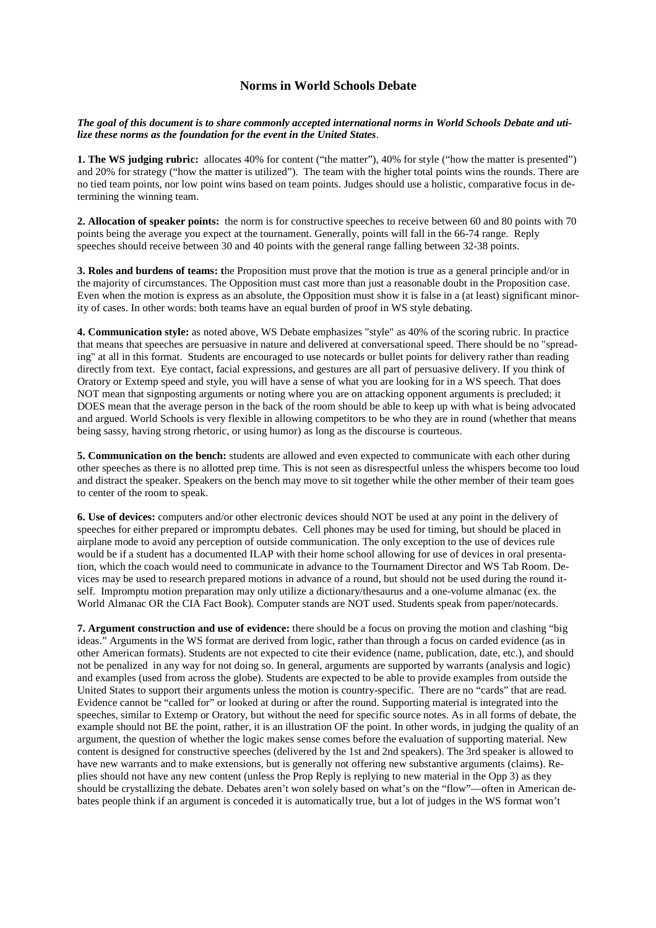## **Norms in World Schools Debate**

*The goal of this document is to share commonly accepted international norms in World Schools Debate and utilize these norms as the foundation for the event in the United States*.

**1. The WS judging rubric:** allocates 40% for content ("the matter"), 40% for style ("how the matter is presented") and 20% for strategy ("how the matter is utilized"). The team with the higher total points wins the rounds. There are no tied team points, nor low point wins based on team points. Judges should use a holistic, comparative focus in determining the winning team.

**2. Allocation of speaker points:** the norm is for constructive speeches to receive between 60 and 80 points with 70 points being the average you expect at the tournament. Generally, points will fall in the 66-74 range. Reply speeches should receive between 30 and 40 points with the general range falling between 32-38 points.

**3. Roles and burdens of teams: t**he Proposition must prove that the motion is true as a general principle and/or in the majority of circumstances. The Opposition must cast more than just a reasonable doubt in the Proposition case. Even when the motion is express as an absolute, the Opposition must show it is false in a (at least) significant minority of cases. In other words: both teams have an equal burden of proof in WS style debating.

**4. Communication style:** as noted above, WS Debate emphasizes "style" as 40% of the scoring rubric. In practice that means that speeches are persuasive in nature and delivered at conversational speed. There should be no "spreading" at all in this format. Students are encouraged to use notecards or bullet points for delivery rather than reading directly from text. Eye contact, facial expressions, and gestures are all part of persuasive delivery. If you think of Oratory or Extemp speed and style, you will have a sense of what you are looking for in a WS speech. That does NOT mean that signposting arguments or noting where you are on attacking opponent arguments is precluded; it DOES mean that the average person in the back of the room should be able to keep up with what is being advocated and argued. World Schools is very flexible in allowing competitors to be who they are in round (whether that means being sassy, having strong rhetoric, or using humor) as long as the discourse is courteous.

**5. Communication on the bench:** students are allowed and even expected to communicate with each other during other speeches as there is no allotted prep time. This is not seen as disrespectful unless the whispers become too loud and distract the speaker. Speakers on the bench may move to sit together while the other member of their team goes to center of the room to speak.

**6. Use of devices:** computers and/or other electronic devices should NOT be used at any point in the delivery of speeches for either prepared or impromptu debates. Cell phones may be used for timing, but should be placed in airplane mode to avoid any perception of outside communication. The only exception to the use of devices rule would be if a student has a documented ILAP with their home school allowing for use of devices in oral presentation, which the coach would need to communicate in advance to the Tournament Director and WS Tab Room. Devices may be used to research prepared motions in advance of a round, but should not be used during the round itself. Impromptu motion preparation may only utilize a dictionary/thesaurus and a one-volume almanac (ex. the World Almanac OR the CIA Fact Book). Computer stands are NOT used. Students speak from paper/notecards.

**7. Argument construction and use of evidence:** there should be a focus on proving the motion and clashing "big ideas." Arguments in the WS format are derived from logic, rather than through a focus on carded evidence (as in other American formats). Students are not expected to cite their evidence (name, publication, date, etc.), and should not be penalized in any way for not doing so. In general, arguments are supported by warrants (analysis and logic) and examples (used from across the globe). Students are expected to be able to provide examples from outside the United States to support their arguments unless the motion is country-specific. There are no "cards" that are read. Evidence cannot be "called for" or looked at during or after the round. Supporting material is integrated into the speeches, similar to Extemp or Oratory, but without the need for specific source notes. As in all forms of debate, the example should not BE the point, rather, it is an illustration OF the point. In other words, in judging the quality of an argument, the question of whether the logic makes sense comes before the evaluation of supporting material. New content is designed for constructive speeches (delivered by the 1st and 2nd speakers). The 3rd speaker is allowed to have new warrants and to make extensions, but is generally not offering new substantive arguments (claims). Replies should not have any new content (unless the Prop Reply is replying to new material in the Opp 3) as they should be crystallizing the debate. Debates aren't won solely based on what's on the "flow"—often in American debates people think if an argument is conceded it is automatically true, but a lot of judges in the WS format won't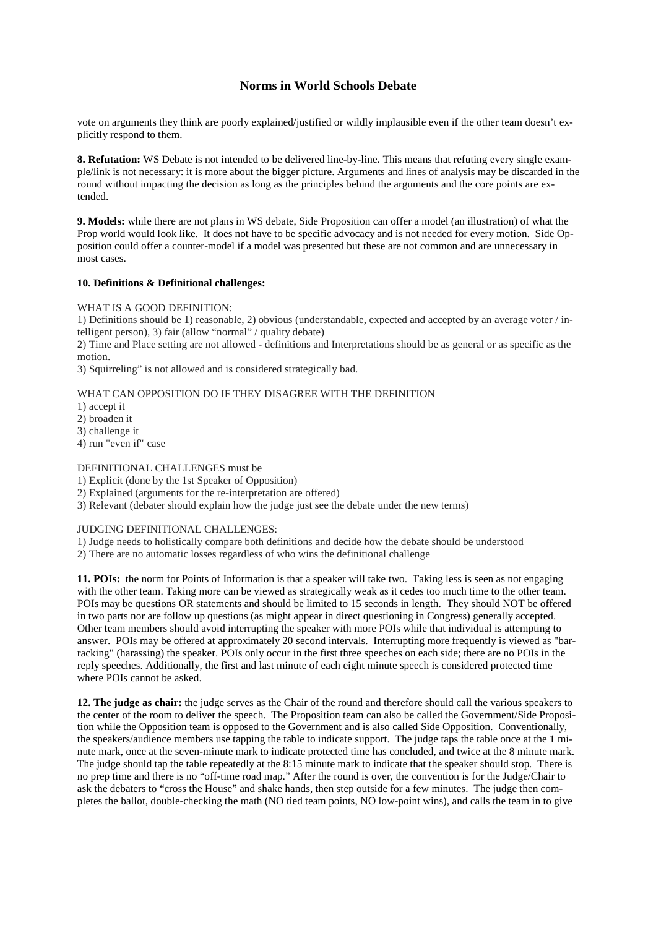## **Norms in World Schools Debate**

vote on arguments they think are poorly explained/justified or wildly implausible even if the other team doesn't explicitly respond to them.

**8. Refutation:** WS Debate is not intended to be delivered line-by-line. This means that refuting every single example/link is not necessary: it is more about the bigger picture. Arguments and lines of analysis may be discarded in the round without impacting the decision as long as the principles behind the arguments and the core points are extended.

**9. Models:** while there are not plans in WS debate, Side Proposition can offer a model (an illustration) of what the Prop world would look like. It does not have to be specific advocacy and is not needed for every motion. Side Opposition could offer a counter-model if a model was presented but these are not common and are unnecessary in most cases.

### **10. Definitions & Definitional challenges:**

WHAT IS A GOOD DEFINITION:

1) Definitions should be 1) reasonable, 2) obvious (understandable, expected and accepted by an average voter / intelligent person), 3) fair (allow "normal" / quality debate)

2) Time and Place setting are not allowed - definitions and Interpretations should be as general or as specific as the motion.

3) Squirreling" is not allowed and is considered strategically bad.

## WHAT CAN OPPOSITION DO IF THEY DISAGREE WITH THE DEFINITION

1) accept it

2) broaden it

3) challenge it

4) run "even if" case

### DEFINITIONAL CHALLENGES must be

1) Explicit (done by the 1st Speaker of Opposition)

2) Explained (arguments for the re-interpretation are offered)

3) Relevant (debater should explain how the judge just see the debate under the new terms)

### JUDGING DEFINITIONAL CHALLENGES:

1) Judge needs to holistically compare both definitions and decide how the debate should be understood

2) There are no automatic losses regardless of who wins the definitional challenge

**11. POIs:** the norm for Points of Information is that a speaker will take two. Taking less is seen as not engaging with the other team. Taking more can be viewed as strategically weak as it cedes too much time to the other team. POIs may be questions OR statements and should be limited to 15 seconds in length. They should NOT be offered in two parts nor are follow up questions (as might appear in direct questioning in Congress) generally accepted. Other team members should avoid interrupting the speaker with more POIs while that individual is attempting to answer. POIs may be offered at approximately 20 second intervals. Interrupting more frequently is viewed as "barracking" (harassing) the speaker. POIs only occur in the first three speeches on each side; there are no POIs in the reply speeches. Additionally, the first and last minute of each eight minute speech is considered protected time where POIs cannot be asked.

**12. The judge as chair:** the judge serves as the Chair of the round and therefore should call the various speakers to the center of the room to deliver the speech. The Proposition team can also be called the Government/Side Proposition while the Opposition team is opposed to the Government and is also called Side Opposition. Conventionally, the speakers/audience members use tapping the table to indicate support. The judge taps the table once at the 1 minute mark, once at the seven-minute mark to indicate protected time has concluded, and twice at the 8 minute mark. The judge should tap the table repeatedly at the 8:15 minute mark to indicate that the speaker should stop. There is no prep time and there is no "off-time road map." After the round is over, the convention is for the Judge/Chair to ask the debaters to "cross the House" and shake hands, then step outside for a few minutes. The judge then completes the ballot, double-checking the math (NO tied team points, NO low-point wins), and calls the team in to give